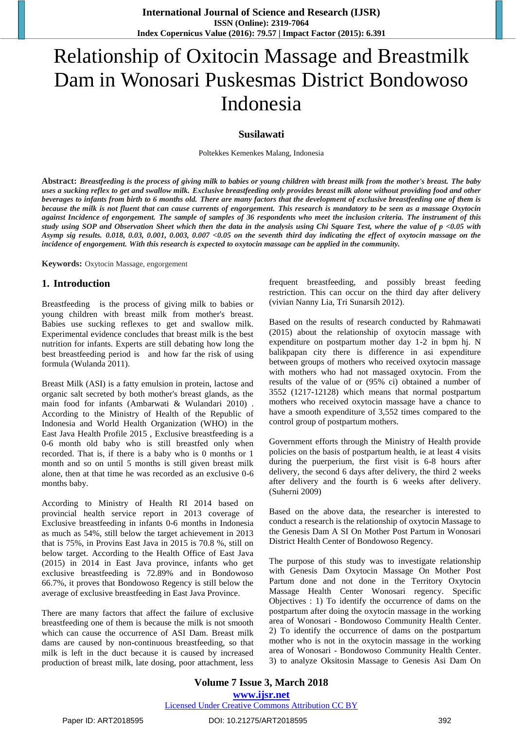# Relationship of Oxitocin Massage and Breastmilk Dam in Wonosari Puskesmas District Bondowoso Indonesia

#### **Susilawati**

Poltekkes Kemenkes Malang, Indonesia

**Abstract:** *Breastfeeding is the process of giving milk to babies or young children with breast milk from the mother's breast. The baby uses a sucking reflex to get and swallow milk. Exclusive breastfeeding only provides breast milk alone without providing food and other beverages to infants from birth to 6 months old. There are many factors that the development of exclusive breastfeeding one of them is because the milk is not fluent that can cause currents of engorgement. This research is mandatory to be seen as a massage Oxytocin against Incidence of engorgement. The sample of samples of 36 respondents who meet the inclusion criteria. The instrument of this study using SOP and Observation Sheet which then the data in the analysis using Chi Square Test, where the value of p <0.05 with Asymp sig results. 0.018, 0.03, 0.001, 0.003, 0.007 <0.05 on the seventh third day indicating the effect of oxytocin massage on the incidence of engorgement. With this research is expected to oxytocin massage can be applied in the community.*

**Keywords:** Oxytocin Massage, engorgement

#### **1. Introduction**

Breastfeeding is the process of giving milk to babies or young children with breast milk from mother's breast. Babies use sucking reflexes to get and swallow milk. Experimental evidence concludes that breast milk is the best nutrition for infants. Experts are still debating how long the best breastfeeding period is and how far the risk of using formula (Wulanda 2011).

Breast Milk (ASI) is a fatty emulsion in protein, lactose and organic salt secreted by both mother's breast glands, as the main food for infants (Ambarwati & Wulandari 2010) . According to the Ministry of Health of the Republic of Indonesia and World Health Organization (WHO) in the East Java Health Profile 2015 , Exclusive breastfeeding is a 0-6 month old baby who is still breastfed only when recorded. That is, if there is a baby who is 0 months or 1 month and so on until 5 months is still given breast milk alone, then at that time he was recorded as an exclusive 0-6 months baby.

According to Ministry of Health RI 2014 based on provincial health service report in 2013 coverage of Exclusive breastfeeding in infants 0-6 months in Indonesia as much as 54%, still below the target achievement in 2013 that is 75%, in Provins East Java in 2015 is 70.8 %, still on below target. According to the Health Office of East Java (2015) in 2014 in East Java province, infants who get exclusive breastfeeding is 72.89% and in Bondowoso 66.7%, it proves that Bondowoso Regency is still below the average of exclusive breastfeeding in East Java Province.

There are many factors that affect the failure of exclusive breastfeeding one of them is because the milk is not smooth which can cause the occurrence of ASI Dam. Breast milk dams are caused by non-continuous breastfeeding, so that milk is left in the duct because it is caused by increased production of breast milk, late dosing, poor attachment, less

frequent breastfeeding, and possibly breast feeding restriction. This can occur on the third day after delivery (vivian Nanny Lia, Tri Sunarsih 2012).

Based on the results of research conducted by Rahmawati (2015) about the relationship of oxytocin massage with expenditure on postpartum mother day 1-2 in bpm hj. N balikpapan city there is difference in asi expenditure between groups of mothers who received oxytocin massage with mothers who had not massaged oxytocin. From the results of the value of or (95% ci) obtained a number of 3552 (1217-12128) which means that normal postpartum mothers who received oxytocin massage have a chance to have a smooth expenditure of 3,552 times compared to the control group of postpartum mothers.

Government efforts through the Ministry of Health provide policies on the basis of postpartum health, ie at least 4 visits during the puerperium, the first visit is 6-8 hours after delivery, the second 6 days after delivery, the third 2 weeks after delivery and the fourth is 6 weeks after delivery. (Suherni 2009)

Based on the above data, the researcher is interested to conduct a research is the relationship of oxytocin Massage to the Genesis Dam A SI On Mother Post Partum in Wonosari District Health Center of Bondowoso Regency.

The purpose of this study was to investigate relationship with Genesis Dam Oxytocin Massage On Mother Post Partum done and not done in the Territory Oxytocin Massage Health Center Wonosari regency. Specific Objectives : 1) To identify the occurrence of dams on the postpartum after doing the oxytocin massage in the working area of Wonosari - Bondowoso Community Health Center. 2) To identify the occurrence of dams on the postpartum mother who is not in the oxytocin massage in the working area of Wonosari - Bondowoso Community Health Center. 3) to analyze Oksitosin Massage to Genesis Asi Dam On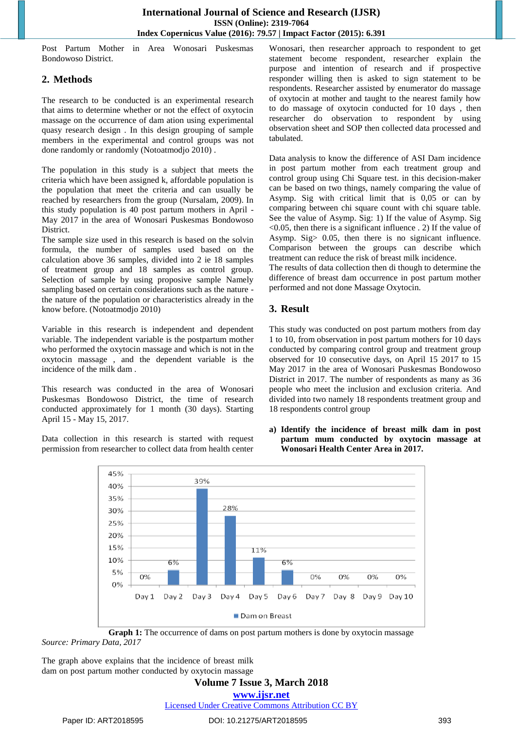Post Partum Mother in Area Wonosari Puskesmas Bondowoso District.

## **2. Methods**

The research to be conducted is an experimental research that aims to determine whether or not the effect of oxytocin massage on the occurrence of dam ation using experimental quasy research design . In this design grouping of sample members in the experimental and control groups was not done randomly or randomly (Notoatmodjo 2010) .

The population in this study is a subject that meets the criteria which have been assigned k, affordable population is the population that meet the criteria and can usually be reached by researchers from the group (Nursalam, 2009). In this study population is 40 post partum mothers in April - May 2017 in the area of Wonosari Puskesmas Bondowoso District.

The sample size used in this research is based on the solvin formula, the number of samples used based on the calculation above 36 samples, divided into 2 ie 18 samples of treatment group and 18 samples as control group. Selection of sample by using proposive sample Namely sampling based on certain considerations such as the nature the nature of the population or characteristics already in the know before. (Notoatmodjo 2010)

Variable in this research is independent and dependent variable. The independent variable is the postpartum mother who performed the oxytocin massage and which is not in the oxytocin massage , and the dependent variable is the incidence of the milk dam .

This research was conducted in the area of Wonosari Puskesmas Bondowoso District, the time of research conducted approximately for 1 month (30 days). Starting April 15 - May 15, 2017.

Data collection in this research is started with request permission from researcher to collect data from health center

Wonosari, then researcher approach to respondent to get statement become respondent, researcher explain the purpose and intention of research and if prospective responder willing then is asked to sign statement to be respondents. Researcher assisted by enumerator do massage of oxytocin at mother and taught to the nearest family how to do massage of oxytocin conducted for 10 days , then researcher do observation to respondent by using observation sheet and SOP then collected data processed and tabulated.

Data analysis to know the difference of ASI Dam incidence in post partum mother from each treatment group and control group using Chi Square test. in this decision-maker can be based on two things, namely comparing the value of Asymp. Sig with critical limit that is 0,05 or can by comparing between chi square count with chi square table. See the value of Asymp. Sig: 1) If the value of Asymp. Sig  $\leq$ 0.05, then there is a significant influence . 2) If the value of Asymp. Sig> 0.05, then there is no signicant influence. Comparison between the groups can describe which treatment can reduce the risk of breast milk incidence.

The results of data collection then di though to determine the difference of breast dam occurrence in post partum mother performed and not done Massage Oxytocin.

# **3. Result**

This study was conducted on post partum mothers from day 1 to 10, from observation in post partum mothers for 10 days conducted by comparing control group and treatment group observed for 10 consecutive days, on April 15 2017 to 15 May 2017 in the area of Wonosari Puskesmas Bondowoso District in 2017. The number of respondents as many as 36 people who meet the inclusion and exclusion criteria. And divided into two namely 18 respondents treatment group and 18 respondents control group

**a) Identify the incidence of breast milk dam in post partum mum conducted by oxytocin massage at Wonosari Health Center Area in 2017.**



**Graph 1:** The occurrence of dams on post partum mothers is done by oxytocin massage *Source: Primary Data, 2017*

The graph above explains that the incidence of breast milk dam on post partum mother conducted by oxytocin massage

**Volume 7 Issue 3, March 2018**

**[www.ijsr.net](file:///D:\IJSR%20Website\www.ijsr.net)**

[Licensed Under Creative Commons Attribution CC BY](http://creativecommons.org/licenses/by/4.0/)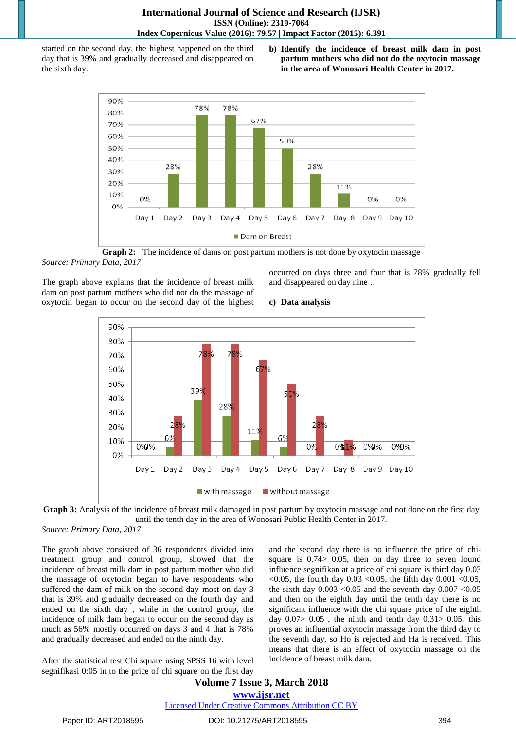started on the second day, the highest happened on the third day that is 39% and gradually decreased and disappeared on the sixth day.

**b) Identify the incidence of breast milk dam in post partum mothers who did not do the oxytocin massage in the area of Wonosari Health Center in 2017.**



**Graph 2:** The incidence of dams on post partum mothers is not done by oxytocin massage *Source: Primary Data, 2017*

The graph above explains that the incidence of breast milk dam on post partum mothers who did not do the massage of oxytocin began to occur on the second day of the highest occurred on days three and four that is 78% gradually fell and disappeared on day nine .

#### **c) Data analysis**





*Source: Primary Data, 2017*

The graph above consisted of 36 respondents divided into treatment group and control group, showed that the incidence of breast milk dam in post partum mother who did the massage of oxytocin began to have respondents who suffered the dam of milk on the second day most on day 3 that is 39% and gradually decreased on the fourth day and ended on the sixth day , while in the control group, the incidence of milk dam began to occur on the second day as much as 56% mostly occurred on days 3 and 4 that is 78% and gradually decreased and ended on the ninth day.

After the statistical test Chi square using SPSS 16 with level segnifikasi 0:05 in to the price of chi square on the first day and the second day there is no influence the price of chisquare is 0.74> 0.05, then on day three to seven found influence segnifikan at a price of chi square is third day 0.03 <0.05, the fourth day 0.03 <0.05, the fifth day 0.001 <0.05, the sixth day  $0.003 \le 0.05$  and the seventh day  $0.007 \le 0.05$ and then on the eighth day until the tenth day there is no significant influence with the chi square price of the eighth day  $0.07$  >  $0.05$ , the ninth and tenth day  $0.31$  >  $0.05$ . this proves an influential oxytocin massage from the third day to the seventh day, so Ho is rejected and Ha is received. This means that there is an effect of oxytocin massage on the incidence of breast milk dam.

## **Volume 7 Issue 3, March 2018 [www.ijsr.net](file:///D:\IJSR%20Website\www.ijsr.net)** [Licensed Under Creative Commons Attribution CC BY](http://creativecommons.org/licenses/by/4.0/)

Paper ID: ART2018595 DOI: 10.21275/ART2018595 394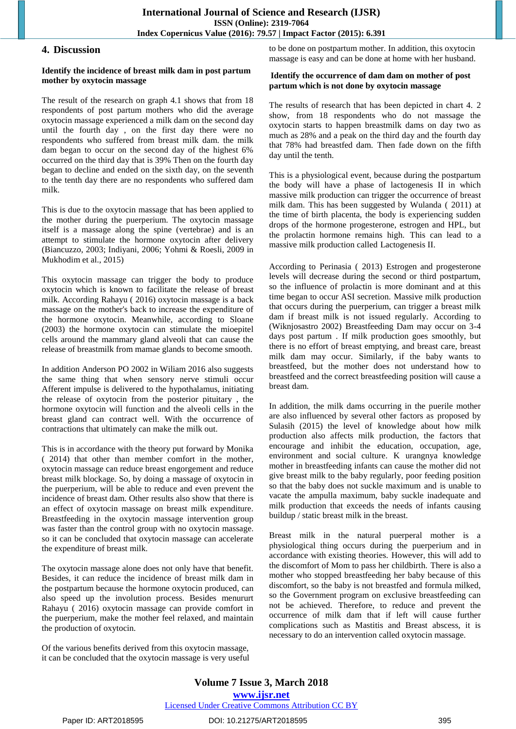#### **4. Discussion**

#### **Identify the incidence of breast milk dam in post partum mother by oxytocin massage**

The result of the research on graph 4.1 shows that from 18 respondents of post partum mothers who did the average oxytocin massage experienced a milk dam on the second day until the fourth day , on the first day there were no respondents who suffered from breast milk dam. the milk dam began to occur on the second day of the highest 6% occurred on the third day that is 39% Then on the fourth day began to decline and ended on the sixth day, on the seventh to the tenth day there are no respondents who suffered dam milk.

This is due to the oxytocin massage that has been applied to the mother during the puerperium. The oxytocin massage itself is a massage along the spine (vertebrae) and is an attempt to stimulate the hormone oxytocin after delivery (Biancuzzo, 2003; Indiyani, 2006; Yohmi & Roesli, 2009 in Mukhodim et al., 2015)

This oxytocin massage can trigger the body to produce oxytocin which is known to facilitate the release of breast milk. According Rahayu ( 2016) oxytocin massage is a back massage on the mother's back to increase the expenditure of the hormone oxytocin. Meanwhile, according to Sloane (2003) the hormone oxytocin can stimulate the mioepitel cells around the mammary gland alveoli that can cause the release of breastmilk from mamae glands to become smooth.

In addition Anderson PO 2002 in Wiliam 2016 also suggests the same thing that when sensory nerve stimuli occur Afferent impulse is delivered to the hypothalamus, initiating the release of oxytocin from the posterior pituitary , the hormone oxytocin will function and the alveoli cells in the breast gland can contract well. With the occurrence of contractions that ultimately can make the milk out.

This is in accordance with the theory put forward by Monika ( 2014) that other than member comfort in the mother, oxytocin massage can reduce breast engorgement and reduce breast milk blockage. So, by doing a massage of oxytocin in the puerperium, will be able to reduce and even prevent the incidence of breast dam. Other results also show that there is an effect of oxytocin massage on breast milk expenditure. Breastfeeding in the oxytocin massage intervention group was faster than the control group with no oxytocin massage. so it can be concluded that oxytocin massage can accelerate the expenditure of breast milk.

The oxytocin massage alone does not only have that benefit. Besides, it can reduce the incidence of breast milk dam in the postpartum because the hormone oxytocin produced, can also speed up the involution process. Besides menururt Rahayu ( 2016) oxytocin massage can provide comfort in the puerperium, make the mother feel relaxed, and maintain the production of oxytocin.

Of the various benefits derived from this oxytocin massage, it can be concluded that the oxytocin massage is very useful to be done on postpartum mother. In addition, this oxytocin massage is easy and can be done at home with her husband.

#### **Identify the occurrence of dam dam on mother of post partum which is not done by oxytocin massage**

The results of research that has been depicted in chart 4. 2 show, from 18 respondents who do not massage the oxytocin starts to happen breastmilk dams on day two as much as 28% and a peak on the third day and the fourth day that 78% had breastfed dam. Then fade down on the fifth day until the tenth.

This is a physiological event, because during the postpartum the body will have a phase of lactogenesis II in which massive milk production can trigger the occurrence of breast milk dam. This has been suggested by Wulanda ( 2011) at the time of birth placenta, the body is experiencing sudden drops of the hormone progesterone, estrogen and HPL, but the prolactin hormone remains high. This can lead to a massive milk production called Lactogenesis II.

According to Perinasia ( 2013) Estrogen and progesterone levels will decrease during the second or third postpartum, so the influence of prolactin is more dominant and at this time began to occur ASI secretion. Massive milk production that occurs during the puerperium, can trigger a breast milk dam if breast milk is not issued regularly. According to (Wiknjosastro 2002) Breastfeeding Dam may occur on 3-4 days post partum . If milk production goes smoothly, but there is no effort of breast emptying, and breast care, breast milk dam may occur. Similarly, if the baby wants to breastfeed, but the mother does not understand how to breastfeed and the correct breastfeeding position will cause a breast dam.

In addition, the milk dams occurring in the puerile mother are also influenced by several other factors as proposed by Sulasih (2015) the level of knowledge about how milk production also affects milk production, the factors that encourage and inhibit the education, occupation, age, environment and social culture. K urangnya knowledge mother in breastfeeding infants can cause the mother did not give breast milk to the baby regularly, poor feeding position so that the baby does not suckle maximum and is unable to vacate the ampulla maximum, baby suckle inadequate and milk production that exceeds the needs of infants causing buildup / static breast milk in the breast.

Breast milk in the natural puerperal mother is a physiological thing occurs during the puerperium and in accordance with existing theories. However, this will add to the discomfort of Mom to pass her childbirth. There is also a mother who stopped breastfeeding her baby because of this discomfort, so the baby is not breastfed and formula milked, so the Government program on exclusive breastfeeding can not be achieved. Therefore, to reduce and prevent the occurrence of milk dam that if left will cause further complications such as Mastitis and Breast abscess, it is necessary to do an intervention called oxytocin massage.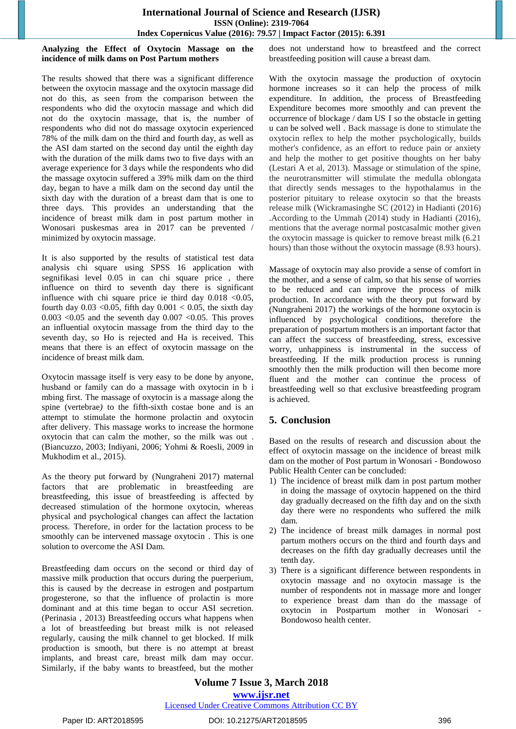#### **Analyzing the Effect of Oxytocin Massage on the incidence of milk dams on Post Partum mothers**

The results showed that there was a significant difference between the oxytocin massage and the oxytocin massage did not do this, as seen from the comparison between the respondents who did the oxytocin massage and which did not do the oxytocin massage, that is, the number of respondents who did not do massage oxytocin experienced 78% of the milk dam on the third and fourth day, as well as the ASI dam started on the second day until the eighth day with the duration of the milk dams two to five days with an average experience for 3 days while the respondents who did the massage oxytocin suffered a 39% milk dam on the third day, began to have a milk dam on the second day until the sixth day with the duration of a breast dam that is one to three days. This provides an understanding that the incidence of breast milk dam in post partum mother in Wonosari puskesmas area in 2017 can be prevented / minimized by oxytocin massage.

It is also supported by the results of statistical test data analysis chi square using SPSS 16 application with segnifikasi level 0.05 in can chi square price , there influence on third to seventh day there is significant influence with chi square price ie third day  $0.018$  <0.05, fourth day  $0.03$  < 0.05, fifth day  $0.001$  < 0.05, the sixth day  $0.003$  <0.05 and the seventh day  $0.007$  <0.05. This proves an influential oxytocin massage from the third day to the seventh day, so Ho is rejected and Ha is received. This means that there is an effect of oxytocin massage on the incidence of breast milk dam.

Oxytocin massage itself is very easy to be done by anyone, husband or family can do a massage with oxytocin in b i mbing first. The massage of oxytocin is a massage along the spine (vertebrae*)* to the fifth-sixth costae bone and is an attempt to stimulate the hormone prolactin and oxytocin after delivery. This massage works to increase the hormone oxytocin that can calm the mother, so the milk was out . (Biancuzzo, 2003; Indiyani, 2006; Yohmi & Roesli, 2009 in Mukhodim et al., 2015).

As the theory put forward by (Nungraheni 2017) maternal factors that are problematic in breastfeeding are breastfeeding, this issue of breastfeeding is affected by decreased stimulation of the hormone oxytocin, whereas physical and psychological changes can affect the lactation process. Therefore, in order for the lactation process to be smoothly can be intervened massage oxytocin . This is one solution to overcome the ASI Dam.

Breastfeeding dam occurs on the second or third day of massive milk production that occurs during the puerperium, this is caused by the decrease in estrogen and postpartum progesterone, so that the influence of prolactin is more dominant and at this time began to occur ASI secretion. (Perinasia , 2013) Breastfeeding occurs what happens when a lot of breastfeeding but breast milk is not released regularly, causing the milk channel to get blocked. If milk production is smooth, but there is no attempt at breast implants, and breast care, breast milk dam may occur. Similarly, if the baby wants to breastfeed, but the mother does not understand how to breastfeed and the correct breastfeeding position will cause a breast dam.

With the oxytocin massage the production of oxytocin hormone increases so it can help the process of milk expenditure. In addition, the process of Breastfeeding Expenditure becomes more smoothly and can prevent the occurrence of blockage / dam US I so the obstacle in getting u can be solved well . Back massage is done to stimulate the oxytocin reflex to help the mother psychologically, builds mother's confidence, as an effort to reduce pain or anxiety and help the mother to get positive thoughts on her baby (Lestari A et al, 2013). Massage or stimulation of the spine, the neurotransmitter will stimulate the medulla oblongata that directly sends messages to the hypothalamus in the posterior pituitary to release oxytocin so that the breasts release milk (Wickramasinghe SC (2012) in Hadianti (2016) .According to the Ummah (2014) study in Hadianti (2016), mentions that the average normal postcasalmic mother given the oxytocin massage is quicker to remove breast milk (6.21 hours) than those without the oxytocin massage (8.93 hours).

Massage of oxytocin may also provide a sense of comfort in the mother, and a sense of calm, so that his sense of worries to be reduced and can improve the process of milk production. In accordance with the theory put forward by (Nungraheni 2017) the workings of the hormone oxytocin is influenced by psychological conditions, therefore the preparation of postpartum mothers is an important factor that can affect the success of breastfeeding, stress, excessive worry, unhappiness is instrumental in the success of breastfeeding. If the milk production process is running smoothly then the milk production will then become more fluent and the mother can continue the process of breastfeeding well so that exclusive breastfeeding program is achieved.

# **5. Conclusion**

Based on the results of research and discussion about the effect of oxytocin massage on the incidence of breast milk dam on the mother of Post partum in Wonosari - Bondowoso Public Health Center can be concluded:

- 1) The incidence of breast milk dam in post partum mother in doing the massage of oxytocin happened on the third day gradually decreased on the fifth day and on the sixth day there were no respondents who suffered the milk dam.
- 2) The incidence of breast milk damages in normal post partum mothers occurs on the third and fourth days and decreases on the fifth day gradually decreases until the tenth day.
- 3) There is a significant difference between respondents in oxytocin massage and no oxytocin massage is the number of respondents not in massage more and longer to experience breast dam than do the massage of oxytocin in Postpartum mother in Wonosari Bondowoso health center.

**Volume 7 Issue 3, March 2018 [www.ijsr.net](file:///D:\IJSR%20Website\www.ijsr.net)** [Licensed Under Creative Commons Attribution CC BY](http://creativecommons.org/licenses/by/4.0/)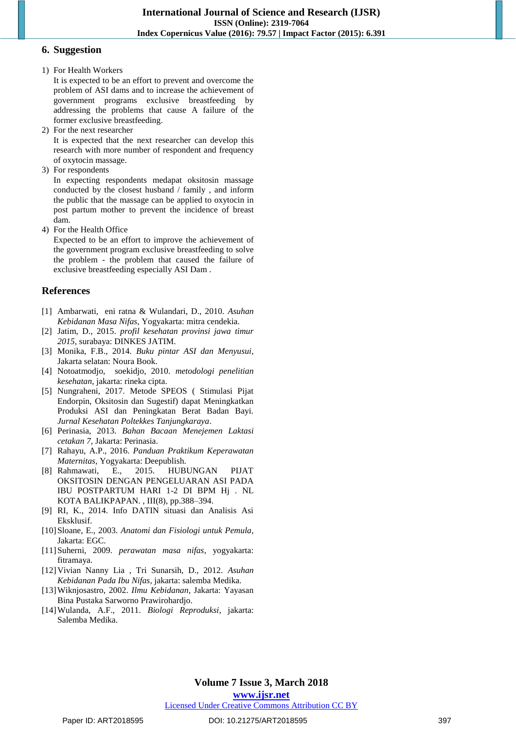#### **6. Suggestion**

1) For Health Workers

It is expected to be an effort to prevent and overcome the problem of ASI dams and to increase the achievement of government programs exclusive breastfeeding by addressing the problems that cause A failure of the former exclusive breastfeeding.

2) For the next researcher

It is expected that the next researcher can develop this research with more number of respondent and frequency of oxytocin massage.

3) For respondents

In expecting respondents medapat oksitosin massage conducted by the closest husband / family , and inform the public that the massage can be applied to oxytocin in post partum mother to prevent the incidence of breast dam.

4) For the Health Office

Expected to be an effort to improve the achievement of the government program exclusive breastfeeding to solve the problem - the problem that caused the failure of exclusive breastfeeding especially ASI Dam .

## **References**

- [1] Ambarwati, eni ratna & Wulandari, D., 2010. *Asuhan Kebidanan Masa Nifas*, Yogyakarta: mitra cendekia.
- [2] Jatim, D., 2015. *profil kesehatan provinsi jawa timur 2015*, surabaya: DINKES JATIM.
- [3] Monika, F.B., 2014. *Buku pintar ASI dan Menyusui*, Jakarta selatan: Noura Book.
- [4] Notoatmodjo, soekidjo, 2010. *metodologi penelitian kesehatan*, jakarta: rineka cipta.
- [5] Nungraheni, 2017. Metode SPEOS ( Stimulasi Pijat Endorpin, Oksitosin dan Sugestif) dapat Meningkatkan Produksi ASI dan Peningkatan Berat Badan Bayi. *Jurnal Kesehatan Poltekkes Tanjungkaraya*.
- [6] Perinasia, 2013. *Bahan Bacaan Menejemen Laktasi cetakan 7*, Jakarta: Perinasia.
- [7] Rahayu, A.P., 2016. *Panduan Praktikum Keperawatan Maternitas*, Yogyakarta: Deepublish.
- [8] Rahmawati, E., 2015. HUBUNGAN PIJAT OKSITOSIN DENGAN PENGELUARAN ASI PADA IBU POSTPARTUM HARI 1-2 DI BPM Hj . NL KOTA BALIKPAPAN. , III(8), pp.388–394.
- [9] RI, K., 2014. Info DATIN situasi dan Analisis Asi Eksklusif.
- [10]Sloane, E., 2003. *Anatomi dan Fisiologi untuk Pemula*, Jakarta: EGC.
- [11]Suherni, 2009. *perawatan masa nifas*, yogyakarta: fitramaya.
- [12]Vivian Nanny Lia , Tri Sunarsih, D., 2012. *Asuhan Kebidanan Pada Ibu Nifas*, jakarta: salemba Medika.
- [13]Wiknjosastro, 2002. *Ilmu Kebidanan*, Jakarta: Yayasan Bina Pustaka Sarworno Prawirohardjo.
- [14]Wulanda, A.F., 2011. *Biologi Reproduksi*, jakarta: Salemba Medika.

### **Volume 7 Issue 3, March 2018 [www.ijsr.net](file:///D:\IJSR%20Website\www.ijsr.net)**

[Licensed Under Creative Commons Attribution CC BY](http://creativecommons.org/licenses/by/4.0/)

#### Paper ID: ART2018595 DOI: 10.21275/ART2018595 397